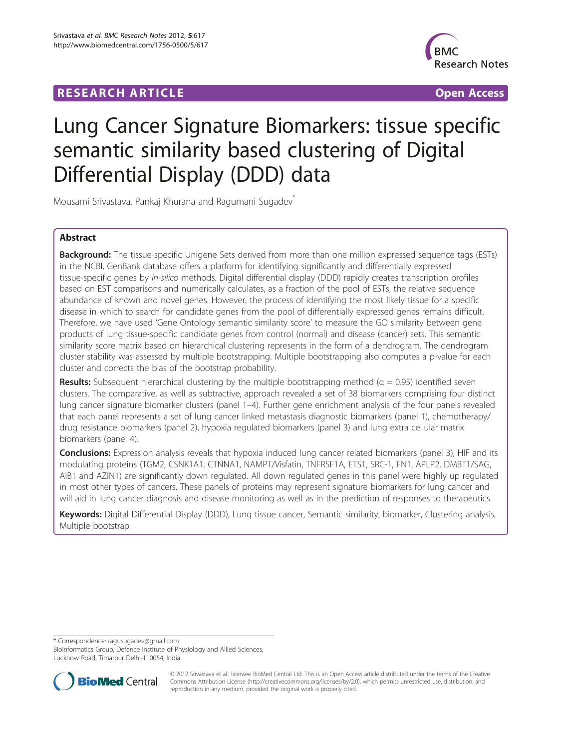# **RESEARCH ARTICLE Example 2018 12:00 Department of the CONNECTION CONNECTION CONNECTION CONNECTION**



# Lung Cancer Signature Biomarkers: tissue specific semantic similarity based clustering of Digital Differential Display (DDD) data

Mousami Srivastava, Pankaj Khurana and Ragumani Sugadev<sup>\*</sup>

# Abstract

Background: The tissue-specific Unigene Sets derived from more than one million expressed sequence tags (ESTs) in the NCBI, GenBank database offers a platform for identifying significantly and differentially expressed tissue-specific genes by in-silico methods. Digital differential display (DDD) rapidly creates transcription profiles based on EST comparisons and numerically calculates, as a fraction of the pool of ESTs, the relative sequence abundance of known and novel genes. However, the process of identifying the most likely tissue for a specific disease in which to search for candidate genes from the pool of differentially expressed genes remains difficult. Therefore, we have used 'Gene Ontology semantic similarity score' to measure the GO similarity between gene products of lung tissue-specific candidate genes from control (normal) and disease (cancer) sets. This semantic similarity score matrix based on hierarchical clustering represents in the form of a dendrogram. The dendrogram cluster stability was assessed by multiple bootstrapping. Multiple bootstrapping also computes a p-value for each cluster and corrects the bias of the bootstrap probability.

**Results:** Subsequent hierarchical clustering by the multiple bootstrapping method ( $\alpha$  = 0.95) identified seven clusters. The comparative, as well as subtractive, approach revealed a set of 38 biomarkers comprising four distinct lung cancer signature biomarker clusters (panel 1–4). Further gene enrichment analysis of the four panels revealed that each panel represents a set of lung cancer linked metastasis diagnostic biomarkers (panel 1), chemotherapy/ drug resistance biomarkers (panel 2), hypoxia regulated biomarkers (panel 3) and lung extra cellular matrix biomarkers (panel 4).

Conclusions: Expression analysis reveals that hypoxia induced lung cancer related biomarkers (panel 3), HIF and its modulating proteins (TGM2, CSNK1A1, CTNNA1, NAMPT/Visfatin, TNFRSF1A, ETS1, SRC-1, FN1, APLP2, DMBT1/SAG, AIB1 and AZIN1) are significantly down regulated. All down regulated genes in this panel were highly up regulated in most other types of cancers. These panels of proteins may represent signature biomarkers for lung cancer and will aid in lung cancer diagnosis and disease monitoring as well as in the prediction of responses to therapeutics.

Keywords: Digital Differential Display (DDD), Lung tissue cancer, Semantic similarity, biomarker, Clustering analysis, Multiple bootstrap

\* Correspondence: [ragusugadev@gmail.com](mailto:ragusugadev@gmail.com)

Bioinformatics Group, Defence Institute of Physiology and Allied Sciences, Lucknow Road, Timarpur Delhi-110054, India



© 2012 Srivastava et al.; licensee BioMed Central Ltd. This is an Open Access article distributed under the terms of the Creative Commons Attribution License [\(http://creativecommons.org/licenses/by/2.0\)](http://creativecommons.org/licenses/by/2.0), which permits unrestricted use, distribution, and reproduction in any medium, provided the original work is properly cited.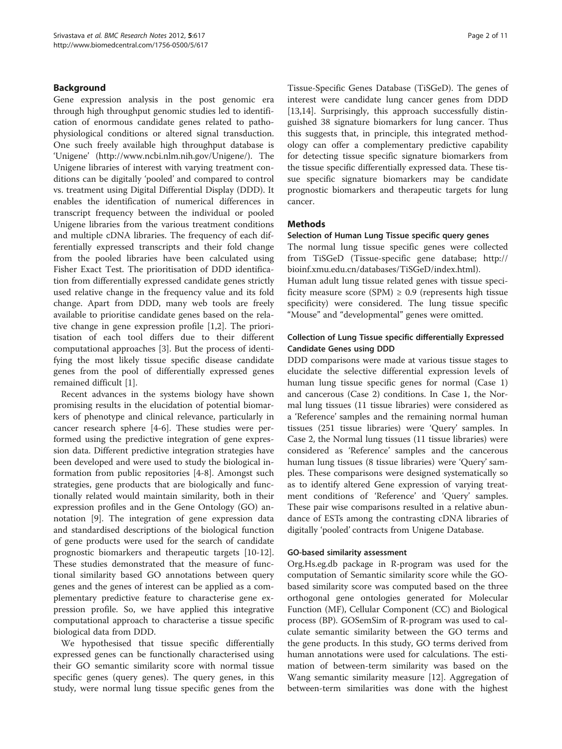# Background

Gene expression analysis in the post genomic era through high throughput genomic studies led to identification of enormous candidate genes related to pathophysiological conditions or altered signal transduction. One such freely available high throughput database is 'Unigene' (<http://www.ncbi.nlm.nih.gov/Unigene/>). The Unigene libraries of interest with varying treatment conditions can be digitally 'pooled' and compared to control vs. treatment using Digital Differential Display (DDD). It enables the identification of numerical differences in transcript frequency between the individual or pooled Unigene libraries from the various treatment conditions and multiple cDNA libraries. The frequency of each differentially expressed transcripts and their fold change from the pooled libraries have been calculated using Fisher Exact Test. The prioritisation of DDD identification from differentially expressed candidate genes strictly used relative change in the frequency value and its fold change. Apart from DDD, many web tools are freely available to prioritise candidate genes based on the relative change in gene expression profile [[1,2\]](#page-9-0). The prioritisation of each tool differs due to their different computational approaches [\[3](#page-9-0)]. But the process of identifying the most likely tissue specific disease candidate genes from the pool of differentially expressed genes remained difficult [\[1](#page-9-0)].

Recent advances in the systems biology have shown promising results in the elucidation of potential biomarkers of phenotype and clinical relevance, particularly in cancer research sphere [[4-6](#page-9-0)]. These studies were performed using the predictive integration of gene expression data. Different predictive integration strategies have been developed and were used to study the biological information from public repositories [\[4-8](#page-9-0)]. Amongst such strategies, gene products that are biologically and functionally related would maintain similarity, both in their expression profiles and in the Gene Ontology (GO) annotation [[9\]](#page-9-0). The integration of gene expression data and standardised descriptions of the biological function of gene products were used for the search of candidate prognostic biomarkers and therapeutic targets [\[10-12](#page-9-0)]. These studies demonstrated that the measure of functional similarity based GO annotations between query genes and the genes of interest can be applied as a complementary predictive feature to characterise gene expression profile. So, we have applied this integrative computational approach to characterise a tissue specific biological data from DDD.

We hypothesised that tissue specific differentially expressed genes can be functionally characterised using their GO semantic similarity score with normal tissue specific genes (query genes). The query genes, in this study, were normal lung tissue specific genes from the

Tissue-Specific Genes Database (TiSGeD). The genes of interest were candidate lung cancer genes from DDD [[13,14\]](#page-9-0). Surprisingly, this approach successfully distinguished 38 signature biomarkers for lung cancer. Thus this suggests that, in principle, this integrated methodology can offer a complementary predictive capability for detecting tissue specific signature biomarkers from the tissue specific differentially expressed data. These tissue specific signature biomarkers may be candidate prognostic biomarkers and therapeutic targets for lung cancer.

# Methods

#### Selection of Human Lung Tissue specific query genes

The normal lung tissue specific genes were collected from TiSGeD (Tissue-specific gene database; [http://](http://bioinf.xmu.edu.cn/databases/TiSGeD/index.html) [bioinf.xmu.edu.cn/databases/TiSGeD/index.html](http://bioinf.xmu.edu.cn/databases/TiSGeD/index.html)).

Human adult lung tissue related genes with tissue specificity measure score (SPM)  $\geq$  0.9 (represents high tissue specificity) were considered. The lung tissue specific "Mouse" and "developmental" genes were omitted.

# Collection of Lung Tissue specific differentially Expressed Candidate Genes using DDD

DDD comparisons were made at various tissue stages to elucidate the selective differential expression levels of human lung tissue specific genes for normal (Case 1) and cancerous (Case 2) conditions. In Case 1, the Normal lung tissues (11 tissue libraries) were considered as a 'Reference' samples and the remaining normal human tissues (251 tissue libraries) were 'Query' samples. In Case 2, the Normal lung tissues (11 tissue libraries) were considered as 'Reference' samples and the cancerous human lung tissues (8 tissue libraries) were 'Query' samples. These comparisons were designed systematically so as to identify altered Gene expression of varying treatment conditions of 'Reference' and 'Query' samples. These pair wise comparisons resulted in a relative abundance of ESTs among the contrasting cDNA libraries of digitally 'pooled' contracts from Unigene Database.

# GO-based similarity assessment

Org.Hs.eg.db package in R-program was used for the computation of Semantic similarity score while the GObased similarity score was computed based on the three orthogonal gene ontologies generated for Molecular Function (MF), Cellular Component (CC) and Biological process (BP). GOSemSim of R-program was used to calculate semantic similarity between the GO terms and the gene products. In this study, GO terms derived from human annotations were used for calculations. The estimation of between-term similarity was based on the Wang semantic similarity measure [\[12](#page-9-0)]. Aggregation of between-term similarities was done with the highest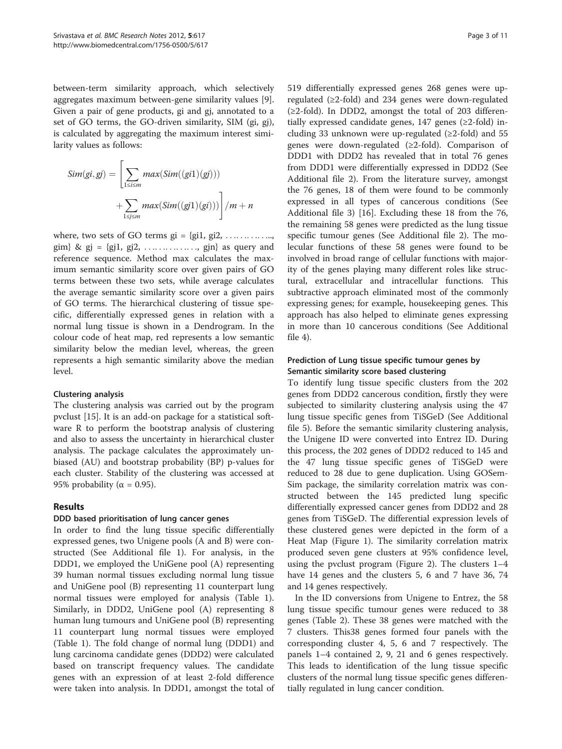between-term similarity approach, which selectively aggregates maximum between-gene similarity values [\[9](#page-9-0)]. Given a pair of gene products, gi and gj, annotated to a set of GO terms, the GO-driven similarity, SIM (gi, gj), is calculated by aggregating the maximum interest similarity values as follows:

$$
Sim(gi, gj) = \left[ \sum_{1 \le i \le m} max(Sim((gi1)(gi))) + \sum_{1 \le j \le m} max(Sim((gi1)(gi))) \right] / m + n
$$

where, two sets of GO terms  $gi = \{g_i1, gi2, \ldots, \ldots, g_i\}$ gim} & gj =  $\{g_1, g_2, \ldots, \ldots, g_n\}$  as query and reference sequence. Method max calculates the maximum semantic similarity score over given pairs of GO terms between these two sets, while average calculates the average semantic similarity score over a given pairs of GO terms. The hierarchical clustering of tissue specific, differentially expressed genes in relation with a normal lung tissue is shown in a Dendrogram. In the colour code of heat map, red represents a low semantic similarity below the median level, whereas, the green represents a high semantic similarity above the median level.

# Clustering analysis

The clustering analysis was carried out by the program pvclust [[15\]](#page-9-0). It is an add-on package for a statistical software R to perform the bootstrap analysis of clustering and also to assess the uncertainty in hierarchical cluster analysis. The package calculates the approximately unbiased (AU) and bootstrap probability (BP) p-values for each cluster. Stability of the clustering was accessed at 95% probability ( $\alpha = 0.95$ ).

# Results

#### DDD based prioritisation of lung cancer genes

In order to find the lung tissue specific differentially expressed genes, two Unigene pools (A and B) were constructed (See Additional file [1](#page-8-0)). For analysis, in the DDD1, we employed the UniGene pool (A) representing 39 human normal tissues excluding normal lung tissue and UniGene pool (B) representing 11 counterpart lung normal tissues were employed for analysis (Table [1](#page-3-0)). Similarly, in DDD2, UniGene pool (A) representing 8 human lung tumours and UniGene pool (B) representing 11 counterpart lung normal tissues were employed (Table [1\)](#page-3-0). The fold change of normal lung (DDD1) and lung carcinoma candidate genes (DDD2) were calculated based on transcript frequency values. The candidate genes with an expression of at least 2-fold difference were taken into analysis. In DDD1, amongst the total of 519 differentially expressed genes 268 genes were upregulated (≥2-fold) and 234 genes were down-regulated (≥2-fold). In DDD2, amongst the total of 203 differentially expressed candidate genes, 147 genes (≥2-fold) including 33 unknown were up-regulated ( $\geq 2$ -fold) and 55 genes were down-regulated (≥2-fold). Comparison of DDD1 with DDD2 has revealed that in total 76 genes from DDD1 were differentially expressed in DDD2 (See Additional file [2](#page-8-0)). From the literature survey, amongst the 76 genes, 18 of them were found to be commonly expressed in all types of cancerous conditions (See Additional file [3](#page-8-0)) [\[16](#page-9-0)]. Excluding these 18 from the 76, the remaining 58 genes were predicted as the lung tissue specific tumour genes (See Additional file [2\)](#page-8-0). The molecular functions of these 58 genes were found to be involved in broad range of cellular functions with majority of the genes playing many different roles like structural, extracellular and intracellular functions. This subtractive approach eliminated most of the commonly expressing genes; for example, housekeeping genes. This approach has also helped to eliminate genes expressing in more than 10 cancerous conditions (See Additional file  $4$ ).

# Prediction of Lung tissue specific tumour genes by Semantic similarity score based clustering

To identify lung tissue specific clusters from the 202 genes from DDD2 cancerous condition, firstly they were subjected to similarity clustering analysis using the 47 lung tissue specific genes from TiSGeD (See Additional file [5](#page-8-0)). Before the semantic similarity clustering analysis, the Unigene ID were converted into Entrez ID. During this process, the 202 genes of DDD2 reduced to 145 and the 47 lung tissue specific genes of TiSGeD were reduced to 28 due to gene duplication. Using GOSem-Sim package, the similarity correlation matrix was constructed between the 145 predicted lung specific differentially expressed cancer genes from DDD2 and 28 genes from TiSGeD. The differential expression levels of these clustered genes were depicted in the form of a Heat Map (Figure [1](#page-5-0)). The similarity correlation matrix produced seven gene clusters at 95% confidence level, using the pvclust program (Figure [2\)](#page-6-0). The clusters 1–4 have 14 genes and the clusters 5, 6 and 7 have 36, 74 and 14 genes respectively.

In the ID conversions from Unigene to Entrez, the 58 lung tissue specific tumour genes were reduced to 38 genes (Table [2](#page-7-0)). These 38 genes were matched with the 7 clusters. This38 genes formed four panels with the corresponding cluster 4, 5, 6 and 7 respectively. The panels 1–4 contained 2, 9, 21 and 6 genes respectively. This leads to identification of the lung tissue specific clusters of the normal lung tissue specific genes differentially regulated in lung cancer condition.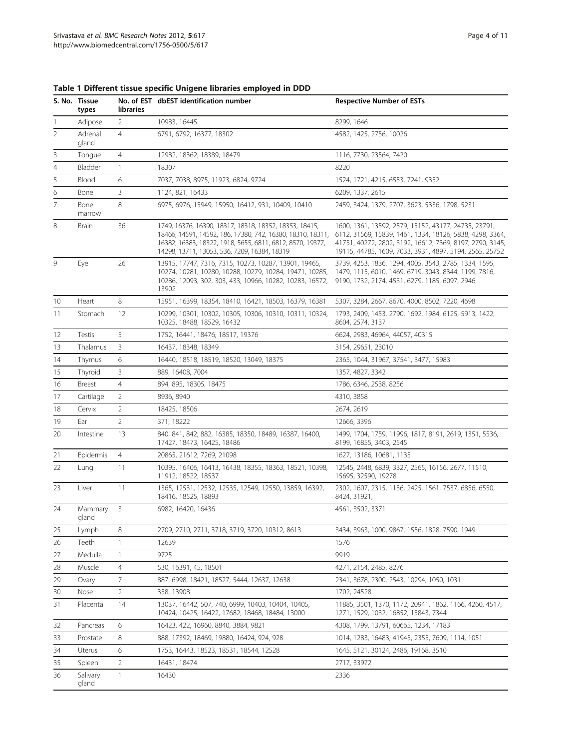|    | S. No. Tissue<br>types | libraries      | No. of EST dbEST identification number                                                                                                                                                                                            | <b>Respective Number of ESTs</b>                                                                                                                                                                                                        |  |  |  |
|----|------------------------|----------------|-----------------------------------------------------------------------------------------------------------------------------------------------------------------------------------------------------------------------------------|-----------------------------------------------------------------------------------------------------------------------------------------------------------------------------------------------------------------------------------------|--|--|--|
|    | Adipose                | $\overline{2}$ | 10983, 16445                                                                                                                                                                                                                      | 8299, 1646                                                                                                                                                                                                                              |  |  |  |
| 2  | Adrenal<br>gland       | $\overline{4}$ | 6791, 6792, 16377, 18302                                                                                                                                                                                                          | 4582, 1425, 2756, 10026                                                                                                                                                                                                                 |  |  |  |
| 3  | Tongue                 | $\overline{4}$ | 12982, 18362, 18389, 18479                                                                                                                                                                                                        | 1116, 7730, 23564, 7420                                                                                                                                                                                                                 |  |  |  |
| 4  | Bladder                | 1              | 18307                                                                                                                                                                                                                             | 8220                                                                                                                                                                                                                                    |  |  |  |
| 5  | Blood                  | 6              | 7037, 7038, 8975, 11923, 6824, 9724                                                                                                                                                                                               | 1524, 1721, 4215, 6553, 7241, 9352                                                                                                                                                                                                      |  |  |  |
| 6  | Bone                   | 3              | 1124, 821, 16433                                                                                                                                                                                                                  | 6209, 1337, 2615                                                                                                                                                                                                                        |  |  |  |
| 7  | Bone<br>marrow         | 8              | 6975, 6976, 15949, 15950, 16412, 931, 10409, 10410                                                                                                                                                                                | 2459, 3424, 1379, 2707, 3623, 5336, 1798, 5231                                                                                                                                                                                          |  |  |  |
| 8  | Brain                  | 36             | 1749, 16376, 16390, 18317, 18318, 18352, 18353, 18415,<br>18466, 14591, 14592, 186, 17380, 742, 16380, 18310, 18311,<br>16382, 16383, 18322, 1918, 5655, 6811, 6812, 8570, 19377,<br>14298, 13711, 13053, 536, 7209, 16384, 18319 | 1600, 1361, 13592, 2579, 15152, 43177, 24735, 23791,<br>6112, 31569, 15839, 1461, 1334, 18126, 5838, 4298, 3364,<br>41751, 40272, 2802, 3192, 16612, 7369, 8197, 2790, 3145,<br>19115, 44785, 1609, 7033, 3931, 4897, 5194, 2565, 25752 |  |  |  |
| 9  | Eye                    | 26             | 13915, 17747, 7316, 7315, 10273, 10287, 13901, 19465,<br>10274, 10281, 10280, 10288, 10279, 10284, 19471, 10285,<br>10286, 12093, 302, 303, 433, 10966, 10282, 10283, 16572,<br>13902                                             | 3739, 4253, 1836, 1294, 4005, 3543, 2785, 1334, 1595,<br>1479, 1115, 6010, 1469, 6719, 3043, 8344, 1199, 7816,<br>9190, 1732, 2174, 4531, 6279, 1185, 6097, 2946                                                                        |  |  |  |
| 10 | Heart                  | 8              | 15951, 16399, 18354, 18410, 16421, 18503, 16379, 16381                                                                                                                                                                            | 5307, 3284, 2667, 8670, 4000, 8502, 7220, 4698                                                                                                                                                                                          |  |  |  |
| 11 | Stomach                | 12             | 10299, 10301, 10302, 10305, 10306, 10310, 10311, 10324,<br>10325, 18488, 18529, 16432                                                                                                                                             | 1793, 2409, 1453, 2790, 1692, 1984, 6125, 5913, 1422,<br>8604, 2574, 3137                                                                                                                                                               |  |  |  |
| 12 | Testis                 | 5              | 1752, 16441, 18476, 18517, 19376                                                                                                                                                                                                  | 6624, 2983, 46964, 44057, 40315                                                                                                                                                                                                         |  |  |  |
| 13 | Thalamus               | 3              | 16437, 18348, 18349                                                                                                                                                                                                               | 3154, 29651, 23010                                                                                                                                                                                                                      |  |  |  |
| 14 | Thymus                 | 6              | 16440, 18518, 18519, 18520, 13049, 18375                                                                                                                                                                                          | 2365, 1044, 31967, 37541, 3477, 15983                                                                                                                                                                                                   |  |  |  |
| 15 | Thyroid                | 3              | 889, 16408, 7004                                                                                                                                                                                                                  | 1357, 4827, 3342                                                                                                                                                                                                                        |  |  |  |
| 16 | Breast                 | $\overline{4}$ | 894, 895, 18305, 18475                                                                                                                                                                                                            | 1786, 6346, 2538, 8256                                                                                                                                                                                                                  |  |  |  |
| 17 | Cartilage              | 2              | 8936, 8940                                                                                                                                                                                                                        | 4310, 3858                                                                                                                                                                                                                              |  |  |  |
| 18 | Cervix                 | $\overline{2}$ | 18425, 18506                                                                                                                                                                                                                      | 2674, 2619                                                                                                                                                                                                                              |  |  |  |
| 19 | Ear                    | $\overline{2}$ | 371, 18222                                                                                                                                                                                                                        | 12666, 3396                                                                                                                                                                                                                             |  |  |  |
| 20 | Intestine              | 13             | 840, 841, 842, 882, 16385, 18350, 18489, 16387, 16400,<br>17427, 18473, 16425, 18486                                                                                                                                              | 1499, 1704, 1759, 11996, 1817, 8191, 2619, 1351, 5536,<br>8199, 16855, 3403, 2545                                                                                                                                                       |  |  |  |
| 21 | Epidermis              | 4              | 20865, 21612, 7269, 21098                                                                                                                                                                                                         | 1627, 13186, 10681, 1135                                                                                                                                                                                                                |  |  |  |
| 22 | Lung                   | 11             | 10395, 16406, 16413, 16438, 18355, 18363, 18521, 10398,<br>11912, 18522, 18537                                                                                                                                                    | 12545, 2448, 6839, 3327, 2565, 16156, 2677, 11510,<br>15695, 32590, 19278                                                                                                                                                               |  |  |  |
| 23 | Liver                  | 11             | 1365, 12531, 12532, 12535, 12549, 12550, 13859, 16392,<br>18416, 18525, 18893                                                                                                                                                     | 2302, 1607, 2315, 1136, 2425, 1561, 7537, 6856, 6550,<br>8424, 31921,                                                                                                                                                                   |  |  |  |
| 24 | Mammary<br>gland       | 3              | 6982, 16420, 16436                                                                                                                                                                                                                | 4561, 3502, 3371                                                                                                                                                                                                                        |  |  |  |
| 25 | Lymph                  | 8              | 2709, 2710, 2711, 3718, 3719, 3720, 10312, 8613                                                                                                                                                                                   | 3434, 3963, 1000, 9867, 1556, 1828, 7590, 1949                                                                                                                                                                                          |  |  |  |
| 26 | Teeth                  | 1              | 12639                                                                                                                                                                                                                             | 1576                                                                                                                                                                                                                                    |  |  |  |
| 27 | Medulla                | $\mathbf{1}$   | 9725                                                                                                                                                                                                                              | 9919                                                                                                                                                                                                                                    |  |  |  |
| 28 | Muscle                 | 4              | 530, 16391, 45, 18501                                                                                                                                                                                                             | 4271, 2154, 2485, 8276                                                                                                                                                                                                                  |  |  |  |
| 29 | Ovary                  | 7              | 887, 6998, 18421, 18527, 5444, 12637, 12638                                                                                                                                                                                       | 2341, 3678, 2300, 2543, 10294, 1050, 1031                                                                                                                                                                                               |  |  |  |
| 30 | Nose                   | 2              | 358, 13908                                                                                                                                                                                                                        | 1702, 24528                                                                                                                                                                                                                             |  |  |  |
| 31 | Placenta               | 14             | 13037, 16442, 507, 740, 6999, 10403, 10404, 10405,<br>10424, 10425, 16422, 17682, 18468, 18484, 13000                                                                                                                             | 11885, 3501, 1370, 1172, 20941, 1862, 1166, 4260, 4517,<br>1271, 1529, 1032, 16852, 15843, 7344                                                                                                                                         |  |  |  |
| 32 | Pancreas               | 6              | 16423, 422, 16960, 8840, 3884, 9821                                                                                                                                                                                               | 4308, 1799, 13791, 60665, 1234, 17183                                                                                                                                                                                                   |  |  |  |
| 33 | Prostate               | 8              | 888, 17392, 18469, 19880, 16424, 924, 928                                                                                                                                                                                         | 1014, 1283, 16483, 41945, 2355, 7609, 1114, 1051                                                                                                                                                                                        |  |  |  |
| 34 | Uterus                 | 6              | 1753, 16443, 18523, 18531, 18544, 12528                                                                                                                                                                                           | 1645, 5121, 30124, 2486, 19168, 3510                                                                                                                                                                                                    |  |  |  |
| 35 | Spleen                 | $\overline{2}$ | 16431, 18474                                                                                                                                                                                                                      | 2717, 33972                                                                                                                                                                                                                             |  |  |  |
| 36 | Salivary<br>gland      | $\mathbf{1}$   | 16430                                                                                                                                                                                                                             | 2336                                                                                                                                                                                                                                    |  |  |  |

# <span id="page-3-0"></span>Table 1 Different tissue specific Unigene libraries employed in DDD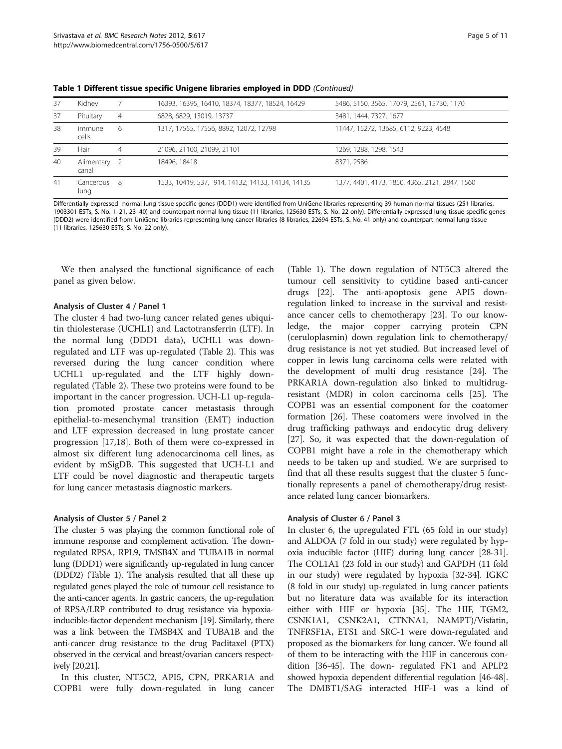| 37 | Kidney                                                         |    | 16393, 16395, 16410, 18374, 18377, 18524, 16429   | 5486, 5150, 3565, 17079, 2561, 15730, 1170     |  |  |
|----|----------------------------------------------------------------|----|---------------------------------------------------|------------------------------------------------|--|--|
| 37 | Pituitary                                                      | 4  | 6828, 6829, 13019, 13737                          | 3481, 1444, 7327, 1677                         |  |  |
| 38 | 1317, 17555, 17556, 8892, 12072, 12798<br>6<br>immune<br>cells |    |                                                   | 11447, 15272, 13685, 6112, 9223, 4548          |  |  |
| 39 | Hair                                                           | 4  | 21096, 21100, 21099, 21101                        | 1269, 1288, 1298, 1543                         |  |  |
| 40 | Alimentary<br>canal                                            | -2 | 18496, 18418                                      | 8371, 2586                                     |  |  |
| 41 | Cancerous<br>lung                                              | -8 | 1533, 10419, 537, 914, 14132, 14133, 14134, 14135 | 1377, 4401, 4173, 1850, 4365, 2121, 2847, 1560 |  |  |

Table 1 Different tissue specific Unigene libraries employed in DDD (Continued)

Differentially expressed normal lung tissue specific genes (DDD1) were identified from UniGene libraries representing 39 human normal tissues (251 libraries, 1903301 ESTs, S. No. 1–21, 23–40) and counterpart normal lung tissue (11 libraries, 125630 ESTs, S. No. 22 only). Differentially expressed lung tissue specific genes (DDD2) were identified from UniGene libraries representing lung cancer libraries (8 libraries, 22694 ESTs, S. No. 41 only) and counterpart normal lung tissue (11 libraries, 125630 ESTs, S. No. 22 only).

We then analysed the functional significance of each panel as given below.

#### Analysis of Cluster 4 / Panel 1

The cluster 4 had two-lung cancer related genes ubiquitin thiolesterase (UCHL1) and Lactotransferrin (LTF). In the normal lung (DDD1 data), UCHL1 was downregulated and LTF was up-regulated (Table [2\)](#page-7-0). This was reversed during the lung cancer condition where UCHL1 up-regulated and the LTF highly downregulated (Table [2\)](#page-7-0). These two proteins were found to be important in the cancer progression. UCH-L1 up-regulation promoted prostate cancer metastasis through epithelial-to-mesenchymal transition (EMT) induction and LTF expression decreased in lung prostate cancer progression [\[17,18\]](#page-9-0). Both of them were co-expressed in almost six different lung adenocarcinoma cell lines, as evident by mSigDB. This suggested that UCH-L1 and LTF could be novel diagnostic and therapeutic targets for lung cancer metastasis diagnostic markers.

#### Analysis of Cluster 5 / Panel 2

The cluster 5 was playing the common functional role of immune response and complement activation. The downregulated RPSA, RPL9, TMSB4X and TUBA1B in normal lung (DDD1) were significantly up-regulated in lung cancer (DDD2) (Table [1\)](#page-3-0). The analysis resulted that all these up regulated genes played the role of tumour cell resistance to the anti-cancer agents. In gastric cancers, the up-regulation of RPSA/LRP contributed to drug resistance via hypoxiainducible-factor dependent mechanism [\[19](#page-9-0)]. Similarly, there was a link between the TMSB4X and TUBA1B and the anti-cancer drug resistance to the drug Paclitaxel (PTX) observed in the cervical and breast/ovarian cancers respectively [[20,21\]](#page-9-0).

In this cluster, NT5C2, API5, CPN, PRKAR1A and COPB1 were fully down-regulated in lung cancer

(Table [1\)](#page-3-0). The down regulation of NT5C3 altered the tumour cell sensitivity to cytidine based anti-cancer drugs [[22](#page-9-0)]. The anti-apoptosis gene API5 downregulation linked to increase in the survival and resistance cancer cells to chemotherapy [[23\]](#page-9-0). To our knowledge, the major copper carrying protein CPN (ceruloplasmin) down regulation link to chemotherapy/ drug resistance is not yet studied. But increased level of copper in lewis lung carcinoma cells were related with the development of multi drug resistance [[24\]](#page-9-0). The PRKAR1A down-regulation also linked to multidrugresistant (MDR) in colon carcinoma cells [[25\]](#page-9-0). The COPB1 was an essential component for the coatomer formation [\[26](#page-9-0)]. These coatomers were involved in the drug trafficking pathways and endocytic drug delivery [[27\]](#page-9-0). So, it was expected that the down-regulation of COPB1 might have a role in the chemotherapy which needs to be taken up and studied. We are surprised to find that all these results suggest that the cluster 5 functionally represents a panel of chemotherapy/drug resistance related lung cancer biomarkers.

#### Analysis of Cluster 6 / Panel 3

In cluster 6, the upregulated FTL (65 fold in our study) and ALDOA (7 fold in our study) were regulated by hypoxia inducible factor (HIF) during lung cancer [[28](#page-9-0)-[31](#page-9-0)]. The COL1A1 (23 fold in our study) and GAPDH (11 fold in our study) were regulated by hypoxia [[32](#page-9-0)-[34](#page-9-0)]. IGKC (8 fold in our study) up-regulated in lung cancer patients but no literature data was available for its interaction either with HIF or hypoxia [\[35\]](#page-9-0). The HIF, TGM2, CSNK1A1, CSNK2A1, CTNNA1, NAMPT)/Visfatin, TNFRSF1A, ETS1 and SRC-1 were down-regulated and proposed as the biomarkers for lung cancer. We found all of them to be interacting with the HIF in cancerous condition [\[36](#page-9-0)[-45\]](#page-10-0). The down- regulated FN1 and APLP2 showed hypoxia dependent differential regulation [[46](#page-10-0)-[48](#page-10-0)]. The DMBT1/SAG interacted HIF-1 was a kind of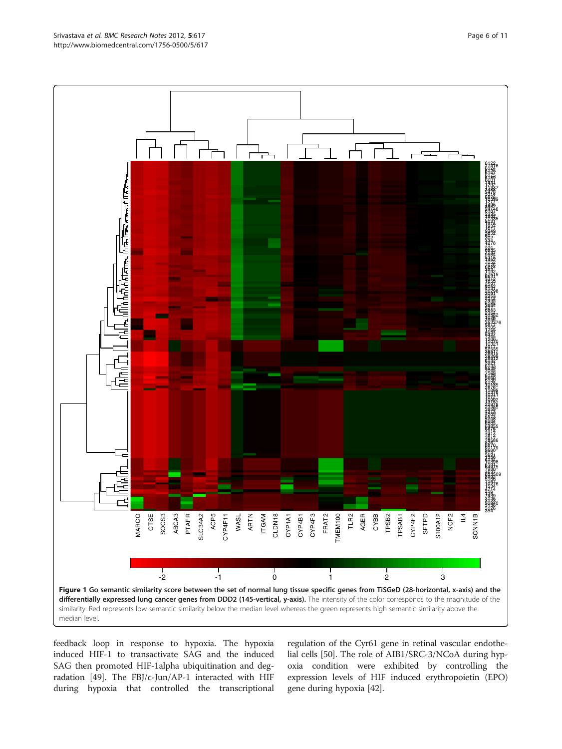<span id="page-5-0"></span>

feedback loop in response to hypoxia. The hypoxia induced HIF-1 to transactivate SAG and the induced SAG then promoted HIF-1alpha ubiquitination and degradation [\[49\]](#page-10-0). The FBJ/c-Jun/AP-1 interacted with HIF during hypoxia that controlled the transcriptional

regulation of the Cyr61 gene in retinal vascular endothelial cells [[50](#page-10-0)]. The role of AIB1/SRC-3/NCoA during hypoxia condition were exhibited by controlling the expression levels of HIF induced erythropoietin (EPO) gene during hypoxia [[42](#page-9-0)].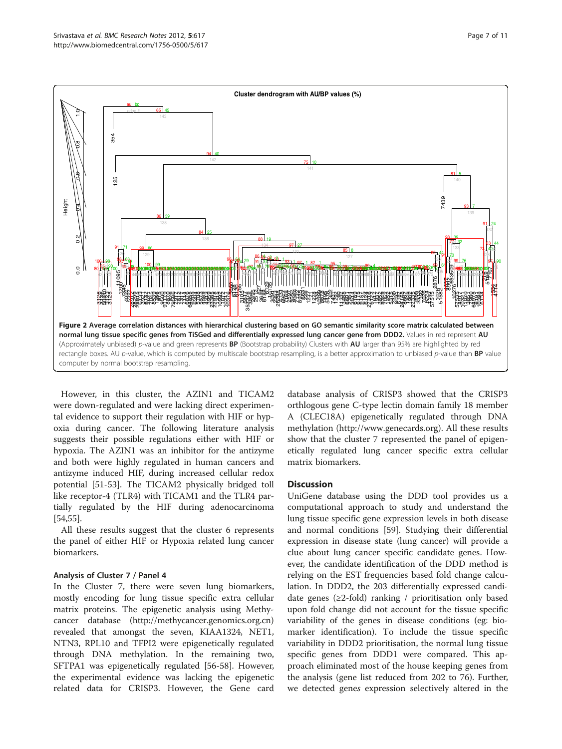<span id="page-6-0"></span>

However, in this cluster, the AZIN1 and TICAM2 were down-regulated and were lacking direct experimental evidence to support their regulation with HIF or hypoxia during cancer. The following literature analysis suggests their possible regulations either with HIF or hypoxia. The AZIN1 was an inhibitor for the antizyme and both were highly regulated in human cancers and antizyme induced HIF, during increased cellular redox potential [[51-53\]](#page-10-0). The TICAM2 physically bridged toll like receptor-4 (TLR4) with TICAM1 and the TLR4 partially regulated by the HIF during adenocarcinoma [[54,55\]](#page-10-0).

All these results suggest that the cluster 6 represents the panel of either HIF or Hypoxia related lung cancer biomarkers.

# Analysis of Cluster 7 / Panel 4

In the Cluster 7, there were seven lung biomarkers, mostly encoding for lung tissue specific extra cellular matrix proteins. The epigenetic analysis using Methycancer database (<http://methycancer.genomics.org.cn>) revealed that amongst the seven, KIAA1324, NET1, NTN3, RPL10 and TFPI2 were epigenetically regulated through DNA methylation. In the remaining two, SFTPA1 was epigenetically regulated [[56](#page-10-0)-[58\]](#page-10-0). However, the experimental evidence was lacking the epigenetic related data for CRISP3. However, the Gene card database analysis of CRISP3 showed that the CRISP3 orthlogous gene C-type lectin domain family 18 member A (CLEC18A) epigenetically regulated through DNA methylation [\(http://www.genecards.org\)](http://www.genecards.org). All these results show that the cluster 7 represented the panel of epigenetically regulated lung cancer specific extra cellular matrix biomarkers.

# **Discussion**

UniGene database using the DDD tool provides us a computational approach to study and understand the lung tissue specific gene expression levels in both disease and normal conditions [[59\]](#page-10-0). Studying their differential expression in disease state (lung cancer) will provide a clue about lung cancer specific candidate genes. However, the candidate identification of the DDD method is relying on the EST frequencies based fold change calculation. In DDD2, the 203 differentially expressed candidate genes (≥2-fold) ranking / prioritisation only based upon fold change did not account for the tissue specific variability of the genes in disease conditions (eg: biomarker identification). To include the tissue specific variability in DDD2 prioritisation, the normal lung tissue specific genes from DDD1 were compared. This approach eliminated most of the house keeping genes from the analysis (gene list reduced from 202 to 76). Further, we detected genes expression selectively altered in the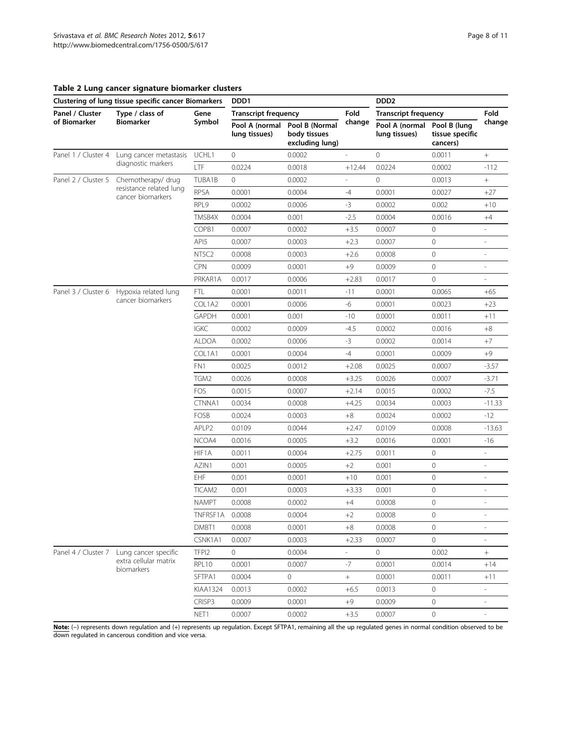<span id="page-7-0"></span>

| Table 2 Lung cancer signature biomarker clusters |  |  |  |  |
|--------------------------------------------------|--|--|--|--|
|--------------------------------------------------|--|--|--|--|

|                     | Clustering of lung tissue specific cancer Biomarkers |                 | DDD <sub>1</sub>                |                                                   |                          | DDD <sub>2</sub>                             |                             |                          |
|---------------------|------------------------------------------------------|-----------------|---------------------------------|---------------------------------------------------|--------------------------|----------------------------------------------|-----------------------------|--------------------------|
| Panel / Cluster     | Type / class of<br><b>Biomarker</b>                  | Gene<br>Symbol  | <b>Transcript frequency</b>     |                                                   | Fold                     | <b>Transcript frequency</b>                  |                             | Fold                     |
| of Biomarker        |                                                      |                 | Pool A (normal<br>lung tissues) | Pool B (Normal<br>body tissues<br>excluding lung) | change                   | Pool A (normal Pool B (lung<br>lung tissues) | tissue specific<br>cancers) | change                   |
| Panel 1 / Cluster 4 | Lung cancer metastasis                               | UCHL1           | 0                               | 0.0002                                            | $\overline{\phantom{a}}$ | $\circ$                                      | 0.0011                      | $^+$                     |
|                     | diagnostic markers                                   | LTF             | 0.0224                          | 0.0018                                            | $+12.44$                 | 0.0224                                       | 0.0002                      | $-112$                   |
| Panel 2 / Cluster 5 | Chemotherapy/ drug                                   | TUBA1B          | 0                               | 0.0002                                            |                          | $\overline{0}$                               | 0.0013                      | $\! +$                   |
|                     | resistance related lung<br>cancer biomarkers         | <b>RPSA</b>     | 0.0001                          | 0.0004                                            | $-4$                     | 0.0001                                       | 0.0027                      | $+27$                    |
|                     |                                                      | RPL9            | 0.0002                          | 0.0006                                            | $-3$                     | 0.0002                                       | 0.002                       | $+10$                    |
|                     |                                                      | TMSB4X          | 0.0004                          | 0.001                                             | $-2.5$                   | 0.0004                                       | 0.0016                      | $+4$                     |
|                     |                                                      | COPB1           | 0.0007                          | 0.0002                                            | $+3.5$                   | 0.0007                                       | 0                           | $\overline{\phantom{a}}$ |
|                     |                                                      | API5            | 0.0007                          | 0.0003                                            | $+2.3$                   | 0.0007                                       | 0                           |                          |
|                     |                                                      | NT5C2           | 0.0008                          | 0.0003                                            | $+2.6$                   | 0.0008                                       | 0                           |                          |
|                     |                                                      | CPN             | 0.0009                          | 0.0001                                            | $+9$                     | 0.0009                                       | 0                           |                          |
|                     |                                                      | PRKAR1A         | 0.0017                          | 0.0006                                            | $+2.83$                  | 0.0017                                       | 0                           |                          |
| Panel 3 / Cluster 6 | Hypoxia related lung                                 | <b>FTL</b>      | 0.0001                          | 0.0011                                            | $-11$                    | 0.0001                                       | 0.0065                      | $+65$                    |
|                     | cancer biomarkers                                    | COL1A2          | 0.0001                          | 0.0006                                            | $-6$                     | 0.0001                                       | 0.0023                      | $+23$                    |
|                     |                                                      | <b>GAPDH</b>    | 0.0001                          | 0.001                                             | $-10$                    | 0.0001                                       | 0.0011                      | $+11$                    |
|                     |                                                      | <b>IGKC</b>     | 0.0002                          | 0.0009                                            | $-4.5$                   | 0.0002                                       | 0.0016                      | $+8$                     |
|                     |                                                      | ALDOA           | 0.0002                          | 0.0006                                            | $-3$                     | 0.0002                                       | 0.0014                      | $+7$                     |
|                     |                                                      | COL1A1          | 0.0001                          | 0.0004                                            | $-4$                     | 0.0001                                       | 0.0009                      | $+9$                     |
|                     |                                                      | FN1             | 0.0025                          | 0.0012                                            | $+2.08$                  | 0.0025                                       | 0.0007                      | $-3.57$                  |
|                     |                                                      | TGM2            | 0.0026                          | 0.0008                                            | $+3.25$                  | 0.0026                                       | 0.0007                      | $-3.71$                  |
|                     |                                                      | FOS             | 0.0015                          | 0.0007                                            | $+2.14$                  | 0.0015                                       | 0.0002                      | $-7.5$                   |
|                     |                                                      | CTNNA1          | 0.0034                          | 0.0008                                            | $+4.25$                  | 0.0034                                       | 0.0003                      | $-11.33$                 |
|                     |                                                      | FOSB            | 0.0024                          | 0.0003                                            | $+8$                     | 0.0024                                       | 0.0002                      | $-12$                    |
|                     |                                                      | APLP2           | 0.0109                          | 0.0044                                            | $+2.47$                  | 0.0109                                       | 0.0008                      | $-13.63$                 |
|                     |                                                      | NCOA4           | 0.0016                          | 0.0005                                            | $+3.2$                   | 0.0016                                       | 0.0001                      | $-16$                    |
|                     |                                                      | HIF1A           | 0.0011                          | 0.0004                                            | $+2.75$                  | 0.0011                                       | 0                           |                          |
|                     |                                                      | AZIN1           | 0.001                           | 0.0005                                            | $+2$                     | 0.001                                        | 0                           |                          |
|                     |                                                      | <b>EHF</b>      | 0.001                           | 0.0001                                            | $+10$                    | 0.001                                        | $\mathbf 0$                 | $\qquad \qquad -$        |
|                     |                                                      | TICAM2          | 0.001                           | 0.0003                                            | $+3.33$                  | 0.001                                        | 0                           |                          |
|                     |                                                      | <b>NAMPT</b>    | 0.0008                          | 0.0002                                            | $+4$                     | 0.0008                                       | 0                           |                          |
|                     |                                                      | TNFRSF1A        | 0.0008                          | 0.0004                                            | $+2$                     | 0.0008                                       | $\mathbf 0$                 |                          |
|                     |                                                      | DMBT1           | 0.0008                          | 0.0001                                            | $+8$                     | 0.0008                                       | 0                           |                          |
|                     |                                                      | CSNK1A1         | 0.0007                          | 0.0003                                            | $+2.33$                  | 0.0007                                       | 0                           | $\overline{\phantom{a}}$ |
|                     | Panel 4 / Cluster 7    Lung cancer specific          | TFPI2           | 0                               | 0.0004                                            | $\overline{\phantom{a}}$ | 0                                            | 0.002                       | $\! + \!\!\!\!$          |
|                     | extra cellular matrix                                | RPL10           | 0.0001                          | 0.0007                                            | $-7$                     | 0.0001                                       | 0.0014                      | $+14$                    |
|                     | biomarkers                                           | SFTPA1          | 0.0004                          | $\overline{0}$                                    | $\, +$                   | 0.0001                                       | 0.0011                      | $+11$                    |
|                     |                                                      | <b>KIAA1324</b> | 0.0013                          | 0.0002                                            | $+6.5$                   | 0.0013                                       | 0                           |                          |
|                     |                                                      | CRISP3          | 0.0009                          | 0.0001                                            | $+9$                     | 0.0009                                       | 0                           |                          |
|                     |                                                      | NET1            | 0.0007                          | 0.0002                                            | $+3.5$                   | 0.0007                                       | $\mathbb O$                 |                          |
|                     |                                                      |                 |                                 |                                                   |                          |                                              |                             |                          |

Note: (-) represents down regulation and (+) represents up regulation. Except SFTPA1, remaining all the up regulated genes in normal condition observed to be down regulated in cancerous condition and vice versa.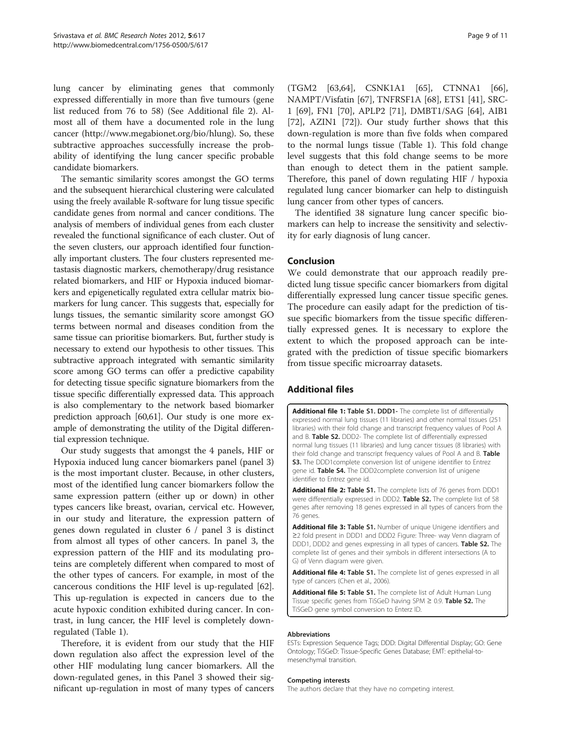<span id="page-8-0"></span>lung cancer by eliminating genes that commonly expressed differentially in more than five tumours (gene list reduced from 76 to 58) (See Additional file 2). Almost all of them have a documented role in the lung cancer (<http://www.megabionet.org/bio/hlung>). So, these subtractive approaches successfully increase the probability of identifying the lung cancer specific probable candidate biomarkers.

The semantic similarity scores amongst the GO terms and the subsequent hierarchical clustering were calculated using the freely available R-software for lung tissue specific candidate genes from normal and cancer conditions. The analysis of members of individual genes from each cluster revealed the functional significance of each cluster. Out of the seven clusters, our approach identified four functionally important clusters. The four clusters represented metastasis diagnostic markers, chemotherapy/drug resistance related biomarkers, and HIF or Hypoxia induced biomarkers and epigenetically regulated extra cellular matrix biomarkers for lung cancer. This suggests that, especially for lungs tissues, the semantic similarity score amongst GO terms between normal and diseases condition from the same tissue can prioritise biomarkers. But, further study is necessary to extend our hypothesis to other tissues. This subtractive approach integrated with semantic similarity score among GO terms can offer a predictive capability for detecting tissue specific signature biomarkers from the tissue specific differentially expressed data. This approach is also complementary to the network based biomarker prediction approach [\[60,61](#page-10-0)]. Our study is one more example of demonstrating the utility of the Digital differential expression technique.

Our study suggests that amongst the 4 panels, HIF or Hypoxia induced lung cancer biomarkers panel (panel 3) is the most important cluster. Because, in other clusters, most of the identified lung cancer biomarkers follow the same expression pattern (either up or down) in other types cancers like breast, ovarian, cervical etc. However, in our study and literature, the expression pattern of genes down regulated in cluster 6 / panel 3 is distinct from almost all types of other cancers. In panel 3, the expression pattern of the HIF and its modulating proteins are completely different when compared to most of the other types of cancers. For example, in most of the cancerous conditions the HIF level is up-regulated [\[62](#page-10-0)]. This up-regulation is expected in cancers due to the acute hypoxic condition exhibited during cancer. In contrast, in lung cancer, the HIF level is completely downregulated (Table [1\)](#page-3-0).

Therefore, it is evident from our study that the HIF down regulation also affect the expression level of the other HIF modulating lung cancer biomarkers. All the down-regulated genes, in this Panel 3 showed their significant up-regulation in most of many types of cancers

(TGM2 [[63](#page-10-0),[64](#page-10-0)], CSNK1A1 [[65](#page-10-0)], CTNNA1 [\[66](#page-10-0)], NAMPT/Visfatin [[67\]](#page-10-0), TNFRSF1A [[68\]](#page-10-0), ETS1 [\[41\]](#page-9-0), SRC-1 [[69\]](#page-10-0), FN1 [[70\]](#page-10-0), APLP2 [[71](#page-10-0)], DMBT1/SAG [\[64](#page-10-0)], AIB1 [[72\]](#page-10-0), AZIN1 [[72](#page-10-0)]). Our study further shows that this down-regulation is more than five folds when compared to the normal lungs tissue (Table [1](#page-3-0)). This fold change level suggests that this fold change seems to be more than enough to detect them in the patient sample. Therefore, this panel of down regulating HIF / hypoxia regulated lung cancer biomarker can help to distinguish lung cancer from other types of cancers.

The identified 38 signature lung cancer specific biomarkers can help to increase the sensitivity and selectivity for early diagnosis of lung cancer.

#### Conclusion

We could demonstrate that our approach readily predicted lung tissue specific cancer biomarkers from digital differentially expressed lung cancer tissue specific genes. The procedure can easily adapt for the prediction of tissue specific biomarkers from the tissue specific differentially expressed genes. It is necessary to explore the extent to which the proposed approach can be integrated with the prediction of tissue specific biomarkers from tissue specific microarray datasets.

# Additional files

[Additional file 1:](http://www.biomedcentral.com/content/supplementary/1756-0500-5-617-S1.xls) Table S1. DDD1- The complete list of differentially expressed normal lung tissues (11 libraries) and other normal tissues (251 libraries) with their fold change and transcript frequency values of Pool A and B. Table S2. DDD2- The complete list of differentially expressed normal lung tissues (11 libraries) and lung cancer tissues (8 libraries) with their fold change and transcript frequency values of Pool A and B. Table S3. The DDD1complete conversion list of unigene identifier to Entrez gene id. Table S4. The DDD2complete conversion list of unigene identifier to Entrez gene id.

[Additional file 2:](http://www.biomedcentral.com/content/supplementary/1756-0500-5-617-S2.xls) Table S1. The complete lists of 76 genes from DDD1 were differentially expressed in DDD2. Table S2. The complete list of 58 genes after removing 18 genes expressed in all types of cancers from the 76 genes.

[Additional file 3:](http://www.biomedcentral.com/content/supplementary/1756-0500-5-617-S3.pdf) Table S1. Number of unique Unigene identifiers and ≥2 fold present in DDD1 and DDD2 Figure: Three- way Venn diagram of DDD1, DDD2 and genes expressing in all types of cancers. Table S2. The complete list of genes and their symbols in different intersections (A to G) of Venn diagram were given.

[Additional file 4:](http://www.biomedcentral.com/content/supplementary/1756-0500-5-617-S4.xls) Table S1. The complete list of genes expressed in all type of cancers (Chen et al., 2006).

[Additional file 5:](http://www.biomedcentral.com/content/supplementary/1756-0500-5-617-S5.xls) Table S1. The complete list of Adult Human Lung Tissue specific genes from TiSGeD having SPM  $\geq$  0.9. Table S2. The TiSGeD gene symbol conversion to Enterz ID.

#### Abbreviations

ESTs: Expression Sequence Tags; DDD: Digital Differential Display; GO: Gene Ontology; TiSGeD: Tissue-Specific Genes Database; EMT: epithelial-tomesenchymal transition.

#### Competing interests

The authors declare that they have no competing interest.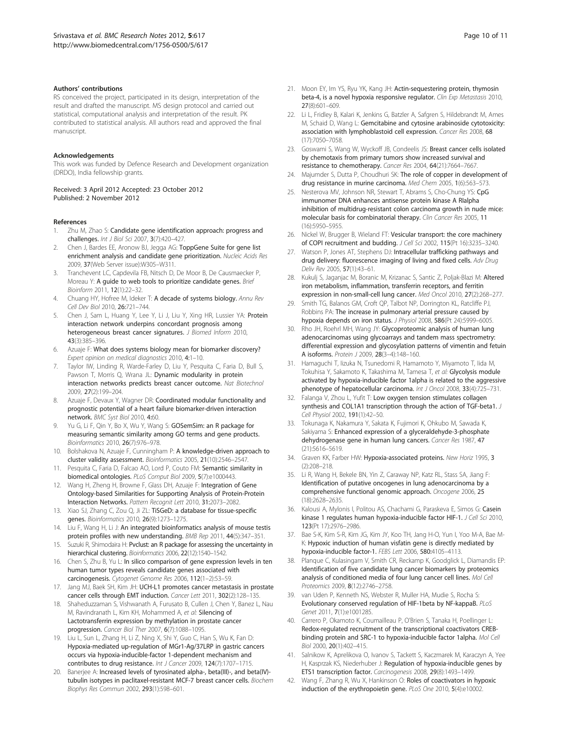#### <span id="page-9-0"></span>Authors' contributions

RS conceived the project, participated in its design, interpretation of the result and drafted the manuscript. MS design protocol and carried out statistical, computational analysis and interpretation of the result. PK contributed to statistical analysis. All authors read and approved the final manuscript.

#### Acknowledgements

This work was funded by Defence Research and Development organization (DRDO), India fellowship grants.

Received: 3 April 2012 Accepted: 23 October 2012 Published: 2 November 2012

#### References

- 1. Zhu M, Zhao S: Candidate gene identification approach: progress and challenges. Int J Biol Sci 2007, 3(7):420–427.
- 2. Chen J, Bardes EE, Aronow BJ, Jegga AG: ToppGene Suite for gene list enrichment analysis and candidate gene prioritization. Nucleic Acids Res 2009, 37(Web Server issue):W305–W311.
- 3. Tranchevent LC, Capdevila FB, Nitsch D, De Moor B, De Causmaecker P, Moreau Y: A guide to web tools to prioritize candidate genes. Brief Bioinform 2011, 12(1):22–32.
- 4. Chuang HY, Hofree M, Ideker T: A decade of systems biology. Annu Rev Cell Dev Biol 2010, 26:721–744.
- Chen J, Sam L, Huang Y, Lee Y, Li J, Liu Y, Xing HR, Lussier YA: Protein interaction network underpins concordant prognosis among heterogeneous breast cancer signatures. J Biomed Inform 2010, 43(3):385–396.
- 6. Azuaje F: What does systems biology mean for biomarker discovery? Expert opinion on medical diagnostics 2010, 4:1–10.
- 7. Taylor IW, Linding R, Warde-Farley D, Liu Y, Pesquita C, Faria D, Bull S, Pawson T, Morris Q, Wrana JL: Dynamic modularity in protein interaction networks predicts breast cancer outcome. Nat Biotechnol 2009, 27(2):199–204.
- 8. Azuaje F, Devaux Y, Wagner DR: Coordinated modular functionality and prognostic potential of a heart failure biomarker-driven interaction network. BMC Syst Biol 2010, 4:60.
- 9. Yu G, Li F, Qin Y, Bo X, Wu Y, Wang S: GOSemSim: an R package for measuring semantic similarity among GO terms and gene products. Bioinformatics 2010, 26(7):976–978.
- 10. Bolshakova N, Azuaje F, Cunningham P: A knowledge-driven approach to cluster validity assessment. Bioinformatics 2005, 21(10):2546–2547.
- 11. Pesquita C, Faria D, Falcao AO, Lord P, Couto FM: Semantic similarity in biomedical ontologies. PLoS Comput Biol 2009, 5(7):e1000443.
- 12. Wang H, Zheng H, Browne F, Glass DH, Azuaje F: Integration of Gene Ontology-based Similarities for Supporting Analysis of Protein-Protein Interaction Networks. Pattern Recognit Lett 2010, 31:2073–2082.
- 13. Xiao SJ, Zhang C, Zou Q, Ji ZL: TiSGeD: a database for tissue-specific genes. Bioinformatics 2010, 26(9):1273–1275.
- 14. Liu F, Wang H, Li J: An integrated bioinformatics analysis of mouse testis protein profiles with new understanding. BMB Rep 2011, 44(5):347–351.
- 15. Suzuki R, Shimodaira H: Pvclust: an R package for assessing the uncertainty in hierarchical clustering. Bioinformatics 2006, 22(12):1540-1542
- 16. Chen S, Zhu B, Yu L: In silico comparison of gene expression levels in ten human tumor types reveals candidate genes associated with carcinogenesis. Cytogenet Genome Res 2006, 112(1–2):53–59.
- 17. Jang MJ, Baek SH, Kim JH: UCH-L1 promotes cancer metastasis in prostate cancer cells through EMT induction. Cancer Lett 2011, 302(2):128–135.
- Shaheduzzaman S, Vishwanath A, Furusato B, Cullen J, Chen Y, Banez L, Nau M, Ravindranath L, Kim KH, Mohammed A, et al: Silencing of Lactotransferrin expression by methylation in prostate cancer progression. Cancer Biol Ther 2007, 6(7):1088–1095.
- 19. Liu L, Sun L, Zhang H, Li Z, Ning X, Shi Y, Guo C, Han S, Wu K, Fan D: Hypoxia-mediated up-regulation of MGr1-Ag/37LRP in gastric cancers occurs via hypoxia-inducible-factor 1-dependent mechanism and contributes to drug resistance. Int J Cancer 2009, 124(7):1707-1715
- 20. Banerjee A: Increased levels of tyrosinated alpha-, beta(III)-, and beta(IV)tubulin isotypes in paclitaxel-resistant MCF-7 breast cancer cells. Biochem Biophys Res Commun 2002, 293(1):598–601.
- 21. Moon EY, Im YS, Ryu YK, Kang JH: Actin-sequestering protein, thymosin beta-4, is a novel hypoxia responsive regulator. Clin Exp Metastasis 2010, 27(8):601–609.
- 22. Li L, Fridley B, Kalari K, Jenkins G, Batzler A, Safgren S, Hildebrandt M, Ames M, Schaid D, Wang L: Gemcitabine and cytosine arabinoside cytotoxicity: association with lymphoblastoid cell expression. Cancer Res 2008, 68 (17):7050–7058.
- 23. Goswami S, Wang W, Wyckoff JB, Condeelis JS: Breast cancer cells isolated by chemotaxis from primary tumors show increased survival and resistance to chemotherapy. Cancer Res 2004, 64(21):7664–7667.
- 24. Majumder S, Dutta P, Choudhuri SK: The role of copper in development of drug resistance in murine carcinoma. Med Chem 2005, 1(6):563–573.
- 25. Nesterova MV, Johnson NR, Stewart T, Abrams S, Cho-Chung YS: CpG immunomer DNA enhances antisense protein kinase A RIalpha inhibition of multidrug-resistant colon carcinoma growth in nude mice: molecular basis for combinatorial therapy. Clin Cancer Res 2005, 11 (16):5950–5955.
- 26. Nickel W, Brugger B, Wieland FT: Vesicular transport: the core machinery of COPI recruitment and budding. J Cell Sci 2002, 115(Pt 16):3235–3240.
- 27. Watson P, Jones AT, Stephens DJ: Intracellular trafficking pathways and drug delivery: fluorescence imaging of living and fixed cells. Adv Drug Deliv Rev 2005, 57(1):43-61.
- 28. Kukulj S, Jaganjac M, Boranic M, Krizanac S, Santic Z, Poljak-Blazi M: Altered iron metabolism, inflammation, transferrin receptors, and ferritin expression in non-small-cell lung cancer. Med Oncol 2010, 27(2):268–277.
- 29. Smith TG, Balanos GM, Croft QP, Talbot NP, Dorrington KL, Ratcliffe PJ, Robbins PA: The increase in pulmonary arterial pressure caused by hypoxia depends on iron status. J Physiol 2008, 586(Pt 24):5999–6005.
- Rho JH, Roehrl MH, Wang JY: Glycoproteomic analysis of human lung adenocarcinomas using glycoarrays and tandem mass spectrometry: differential expression and glycosylation patterns of vimentin and fetuin A isoforms. Protein J 2009, 28(3–4):148–160.
- 31. Hamaguchi T, Iizuka N, Tsunedomi R, Hamamoto Y, Miyamoto T, Iida M, Tokuhisa Y, Sakamoto K, Takashima M, Tamesa T, et al: Glycolysis module activated by hypoxia-inducible factor 1alpha is related to the aggressive phenotype of hepatocellular carcinoma. Int J Oncol 2008, 33(4):725-731.
- 32. Falanga V, Zhou L, Yufit T: Low oxygen tension stimulates collagen synthesis and COL1A1 transcription through the action of TGF-beta1. J Cell Physiol 2002, 191(1):42–50.
- 33. Tokunaga K, Nakamura Y, Sakata K, Fujimori K, Ohkubo M, Sawada K, Sakiyama S: Enhanced expression of a glyceraldehyde-3-phosphate dehydrogenase gene in human lung cancers. Cancer Res 1987, 47 (21):5616–5619.
- 34. Graven KK, Farber HW: Hypoxia-associated proteins. New Horiz 1995, 3 (2):208–218.
- 35. Li R, Wang H, Bekele BN, Yin Z, Caraway NP, Katz RL, Stass SA, Jiang F: Identification of putative oncogenes in lung adenocarcinoma by a comprehensive functional genomic approach. Oncogene 2006, 25 (18):2628–2635.
- Kalousi A, Mylonis I, Politou AS, Chachami G, Paraskeva E, Simos G: Casein kinase 1 regulates human hypoxia-inducible factor HIF-1. J Cell Sci 2010, 123(Pt 17):2976–2986.
- 37. Bae S-K, Kim S-R, Kim JG, Kim JY, Koo TH, Jang H-O, Yun I, Yoo M-A, Bae M-K: Hypoxic induction of human visfatin gene is directly mediated by hypoxia-inducible factor-1. FEBS Lett 2006, 580:4105–4113.
- 38. Planque C, Kulasingam V, Smith CR, Reckamp K, Goodglick L, Diamandis EP: Identification of five candidate lung cancer biomarkers by proteomics analysis of conditioned media of four lung cancer cell lines. Mol Cell Proteomics 2009, 8(12):2746–2758.
- 39. van Uden P, Kenneth NS, Webster R, Muller HA, Mudie S, Rocha S: Evolutionary conserved regulation of HIF-1beta by NF-kappaB. PLoS Genet 2011, 7(1):e1001285.
- 40. Carrero P, Okamoto K, Coumailleau P, O'Brien S, Tanaka H, Poellinger L: Redox-regulated recruitment of the transcriptional coactivators CREBbinding protein and SRC-1 to hypoxia-inducible factor 1alpha. Mol Cell Biol 2000, 20(1):402–415.
- 41. Salnikow K, Aprelikova O, Ivanov S, Tackett S, Kaczmarek M, Karaczyn A, Yee H, Kasprzak KS, Niederhuber J: Regulation of hypoxia-inducible genes by ETS1 transcription factor. Carcinogenesis 2008, 29(8):1493–1499.
- 42. Wang F, Zhang R, Wu X, Hankinson O: Roles of coactivators in hypoxic induction of the erythropoietin gene. PLoS One 2010, 5(4):e10002.